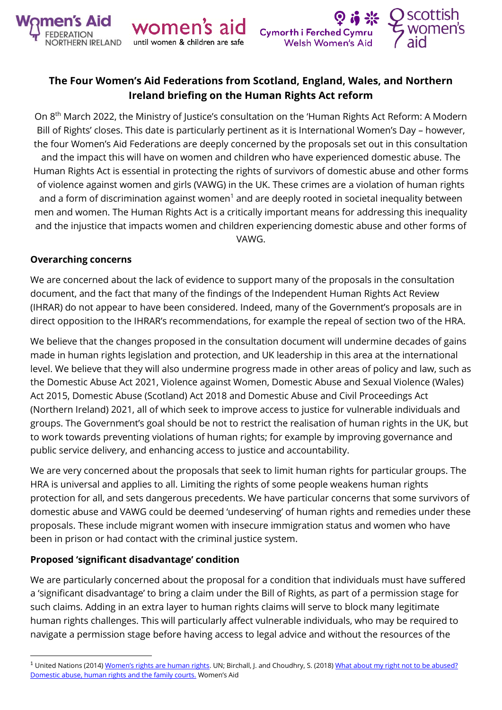



# **The Four Women's Aid Federations from Scotland, England, Wales, and Northern Ireland briefing on the Human Rights Act reform**

On 8<sup>th</sup> March 2022, the Ministry of Justice's consultation on the 'Human Rights Act Reform: A Modern Bill of Rights' closes. This date is particularly pertinent as it is International Women's Day – however, the four Women's Aid Federations are deeply concerned by the proposals set out in this consultation and the impact this will have on women and children who have experienced domestic abuse. The Human Rights Act is essential in protecting the rights of survivors of domestic abuse and other forms of violence against women and girls (VAWG) in the UK. These crimes are a violation of human rights and a form of discrimination against women<sup>1</sup> and are deeply rooted in societal inequality between men and women. The Human Rights Act is a critically important means for addressing this inequality and the injustice that impacts women and children experiencing domestic abuse and other forms of VAWG.

#### **Overarching concerns**

We are concerned about the lack of evidence to support many of the proposals in the consultation document, and the fact that many of the findings of the Independent Human Rights Act Review (IHRAR) do not appear to have been considered. Indeed, many of the Government's proposals are in direct opposition to the IHRAR's recommendations, for example the repeal of section two of the HRA.

We believe that the changes proposed in the consultation document will undermine decades of gains made in human rights legislation and protection, and UK leadership in this area at the international level. We believe that they will also undermine progress made in other areas of policy and law, such as the Domestic Abuse Act 2021, Violence against Women, Domestic Abuse and Sexual Violence (Wales) Act 2015, Domestic Abuse (Scotland) Act 2018 and Domestic Abuse and Civil Proceedings Act (Northern Ireland) 2021, all of which seek to improve access to justice for vulnerable individuals and groups. The Government's goal should be not to restrict the realisation of human rights in the UK, but to work towards preventing violations of human rights; for example by improving governance and public service delivery, and enhancing access to justice and accountability.

We are very concerned about the proposals that seek to limit human rights for particular groups. The HRA is universal and applies to all. Limiting the rights of some people weakens human rights protection for all, and sets dangerous precedents. We have particular concerns that some survivors of domestic abuse and VAWG could be deemed 'undeserving' of human rights and remedies under these proposals. These include migrant women with insecure immigration status and women who have been in prison or had contact with the criminal justice system.

#### **Proposed 'significant disadvantage' condition**

We are particularly concerned about the proposal for a condition that individuals must have suffered a 'significant disadvantage' to bring a claim under the Bill of Rights, as part of a permission stage for such claims. Adding in an extra layer to human rights claims will serve to block many legitimate human rights challenges. This will particularly affect vulnerable individuals, who may be required to navigate a permission stage before having access to legal advice and without the resources of the

<sup>&</sup>lt;sup>1</sup> United Nations (2014) [Women's rights are human rights](https://www.ohchr.org/Documents/Events/WHRD/WomenRightsAreHR.pdf). UN; Birchall, J. and Choudhry, S. (2018) What about my right not to be abused? [Domestic abuse, human rights and the family courts.](https://www.womensaid.org.uk/evidence-hub/research-and-publications/domestic-abuse-human-rights-and-the-family-courts/) Women's Aid